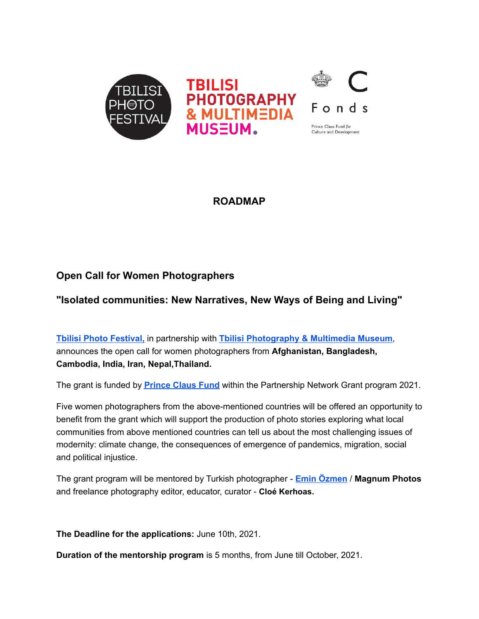

**ROADMAP**

# **Open Call for Women Photographers**

# **"Isolated communities: New Narratives, New Ways of Being and Living"**

**Tbilisi Photo [Festival,](http://www.tbilisiphotofestival.com/en/)** in partnership with **Tbilisi [Photography](https://tpmm.ge/en/) & Multimedia Museum**, announces the open call for women photographers from **Afghanistan, Bangladesh, Cambodia, India, Iran, Nepal,Thailand.**

The grant is funded by **[Prince](https://princeclausfund.org/) Claus Fund** within the Partnership Network Grant program 2021.

Five women photographers from the above-mentioned countries will be offered an opportunity to benefit from the grant which will support the production of photo stories exploring what local communities from above mentioned countries can tell us about the most challenging issues of modernity: climate change, the consequences of emergence of pandemics, migration, social and political injustice.

The grant program will be mentored by Turkish photographer - **Emin [Özmen](https://www.eminozmen.com/about-me)** / **Magnum Photos** and freelance photography editor, educator, curator - **Cloé Kerhoas.**

**The Deadline for the applications:** June 10th, 2021.

**Duration of the mentorship program** is 5 months, from June till October, 2021.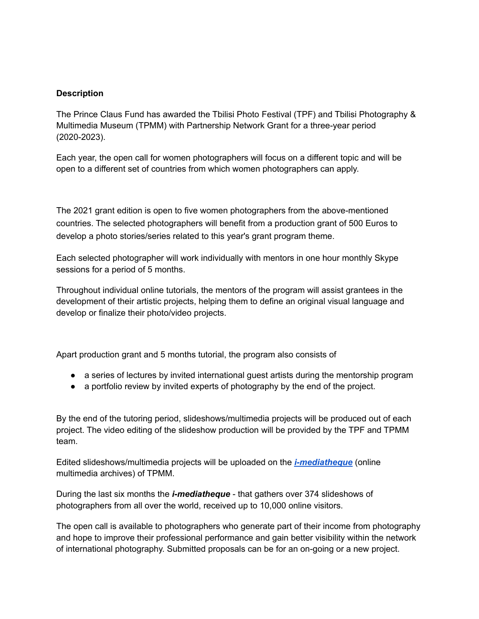#### **Description**

The Prince Claus Fund has awarded the Tbilisi Photo Festival (TPF) and Tbilisi Photography & Multimedia Museum (TPMM) with Partnership Network Grant for a three-year period (2020-2023).

Each year, the open call for women photographers will focus on a different topic and will be open to a different set of countries from which women photographers can apply.

The 2021 grant edition is open to five women photographers from the above-mentioned countries. The selected photographers will benefit from a production grant of 500 Euros to develop a photo stories/series related to this year's grant program theme.

Each selected photographer will work individually with mentors in one hour monthly Skype sessions for a period of 5 months.

Throughout individual online tutorials, the mentors of the program will assist grantees in the development of their artistic projects, helping them to define an original visual language and develop or finalize their photo/video projects.

Apart production grant and 5 months tutorial, the program also consists of

- a series of lectures by invited international guest artists during the mentorship program
- a portfolio review by invited experts of photography by the end of the project.

By the end of the tutoring period, slideshows/multimedia projects will be produced out of each project. The video editing of the slideshow production will be provided by the TPF and TPMM team.

Edited slideshows/multimedia projects will be uploaded on the *[i-mediatheque](https://tpmm.ge/en/video-archive/all/all/0/0/)* (online multimedia archives) of TPMM.

During the last six months the *i-mediatheque* - that gathers over 374 slideshows of photographers from all over the world, received up to 10,000 online visitors.

The open call is available to photographers who generate part of their income from photography and hope to improve their professional performance and gain better visibility within the network of international photography. Submitted proposals can be for an on-going or a new project.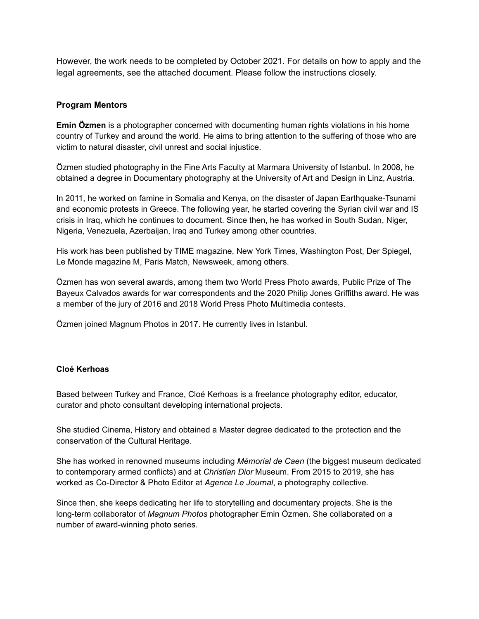However, the work needs to be completed by October 2021. For details on how to apply and the legal agreements, see the attached document. Please follow the instructions closely.

#### **Program Mentors**

**Emin Özmen** is a photographer concerned with documenting human rights violations in his home country of Turkey and around the world. He aims to bring attention to the suffering of those who are victim to natural disaster, civil unrest and social injustice.

Özmen studied photography in the Fine Arts Faculty at Marmara University of Istanbul. In 2008, he obtained a degree in Documentary photography at the University of Art and Design in Linz, Austria.

In 2011, he worked on famine in Somalia and Kenya, on the disaster of Japan Earthquake-Tsunami and economic protests in Greece. The following year, he started covering the Syrian civil war and IS crisis in Iraq, which he continues to document. Since then, he has worked in South Sudan, Niger, Nigeria, Venezuela, Azerbaijan, Iraq and Turkey among other countries.

His work has been published by TIME magazine, New York Times, Washington Post, Der Spiegel, Le Monde magazine M, Paris Match, Newsweek, among others.

Özmen has won several awards, among them two World Press Photo awards, Public Prize of The Bayeux Calvados awards for war correspondents and the 2020 Philip Jones Griffiths award. He was a member of the jury of 2016 and 2018 World Press Photo Multimedia contests.

Özmen joined Magnum Photos in 2017. He currently lives in Istanbul.

#### **Cloé Kerhoas**

Based between Turkey and France, Cloé Kerhoas is a freelance photography editor, educator, curator and photo consultant developing international projects.

She studied Cinema, History and obtained a Master degree dedicated to the protection and the conservation of the Cultural Heritage.

She has worked in renowned museums including *Mémorial de Caen* (the biggest museum dedicated to contemporary armed conflicts) and at *Christian Dior* Museum. From 2015 to 2019, she has worked as Co-Director & Photo Editor at *Agence Le Journal*, a photography collective.

Since then, she keeps dedicating her life to storytelling and documentary projects. She is the long-term collaborator of *Magnum Photos* photographer Emin Özmen. She collaborated on a number of award-winning photo series.